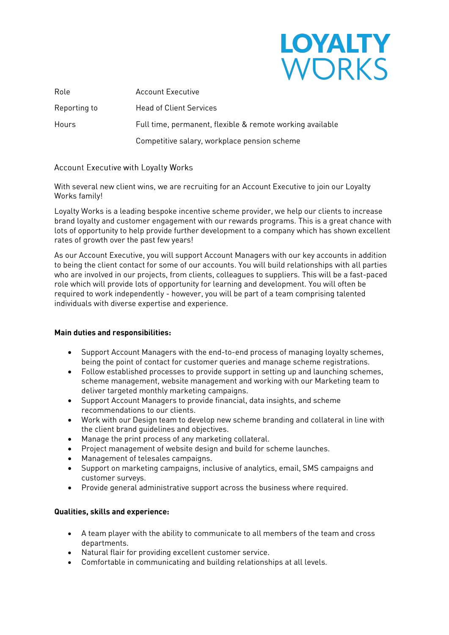# **LOYALTY** WORKS

| Full time, permanent, flexible & remote working available |
|-----------------------------------------------------------|
| Competitive salary, workplace pension scheme              |
|                                                           |

#### Account Executive with Loyalty Works

With several new client wins, we are recruiting for an Account Executive to join our Loyalty<br>Works family! Works family!

Loyalty Works is a leading bespoke incentive scheme provider, we help our clients to increase lots of opportunity to help provide further development to a company which has shown excellent  $\frac{1}{2}$  is the operator of opportunity to help provide function  $\frac{1}{2}$  company which has shown when  $\frac{1}{2}$  company which has shown when  $\frac{1}{2}$  company which has shown when  $\frac{1}{2}$  company which has shown when rates of growth over the past few years!

As our Account Executive, you will support Account Managers with our key accounts in addition<br>to being the client contact for some of our accounts. You will build relationships with all parties who are involved in our projects, from clients, colleagues to suppliers. This will be a fast-paced role which will provide lots of opportunity for learning and development. You will often be required to work independently - however, you will be part of a team comprising talented individuals with diverse expertise and experience. individuals with diverse expertise and experience.

# **Main duties and responsibilities:**

- Support Account Managers with the end-to-end process of managing loyalty schemes,
- Follow established processes to provide support in setting up and launching schemes,<br>scheme management, website management and working with our Marketing team to scheme management, website management and working with our Marketing team to deliver targeted monthly marketing campaigns.
- Support Account Managers to provide financial, data insights, and scheme<br>recommendations to our clients
- Work with our Design team to develop new scheme branding and collateral in line with the client brand quidelines and objectives
- **The client brand guidelines and objectives.**<br> **A** Project management of website design and build for so
- Project management of website design and build for scheme launches.
- Management of telesales campaigns.
- Support on marketing campaigns, inclusive of analytics, email, SMS campaigns and
- Provide general administrative support across the business where required.

# **Qualities, skills and experience:**

- A team player with the ability to communicate to all members of the team and cross
- ondex to the international of the Matural flair for providing excellent customer service.<br>A Comfortable in communicating and building relationship
- Comfortable in communicating and building relationships at all levels.